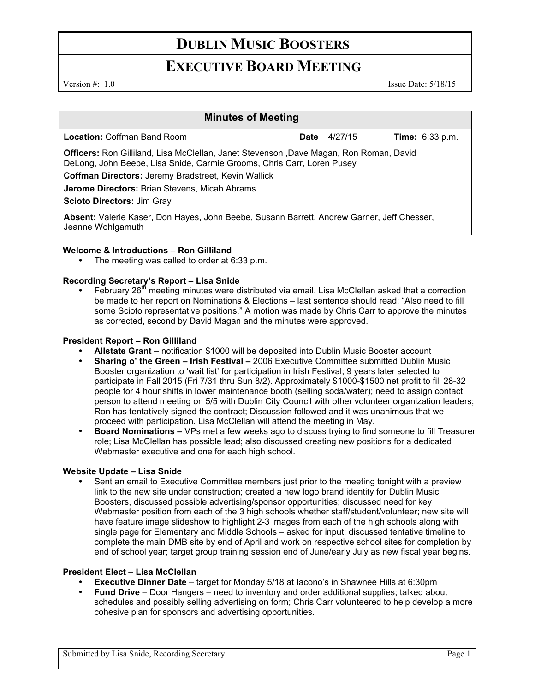# **DUBLIN MUSIC BOOSTERS**

# **EXECUTIVE BOARD MEETING**

Version #: 1.0 Issue Date: 5/18/15

| <b>Minutes of Meeting</b>                                                                                                                                                |             |         |                        |
|--------------------------------------------------------------------------------------------------------------------------------------------------------------------------|-------------|---------|------------------------|
| <b>Location: Coffman Band Room</b>                                                                                                                                       | <b>Date</b> | 4/27/15 | <b>Time:</b> 6:33 p.m. |
| <b>Officers:</b> Ron Gilliland, Lisa McClellan, Janet Stevenson , Dave Magan, Ron Roman, David<br>DeLong, John Beebe, Lisa Snide, Carmie Grooms, Chris Carr, Loren Pusey |             |         |                        |
| Coffman Directors: Jeremy Bradstreet, Kevin Wallick                                                                                                                      |             |         |                        |
| <b>Jerome Directors: Brian Stevens, Micah Abrams</b>                                                                                                                     |             |         |                        |
| <b>Scioto Directors: Jim Gray</b>                                                                                                                                        |             |         |                        |
| Absent: Valerie Kaser, Don Hayes, John Beebe, Susann Barrett, Andrew Garner, Jeff Chesser,<br>Jeanne Wohlgamuth                                                          |             |         |                        |

## **Welcome & Introductions – Ron Gilliland**

• The meeting was called to order at 6:33 p.m.

## **Recording Secretary's Report – Lisa Snide**

February  $26<sup>th</sup>$  meeting minutes were distributed via email. Lisa McClellan asked that a correction be made to her report on Nominations & Elections – last sentence should read: "Also need to fill some Scioto representative positions." A motion was made by Chris Carr to approve the minutes as corrected, second by David Magan and the minutes were approved.

### **President Report – Ron Gilliland**

- **Allstate Grant –** notification \$1000 will be deposited into Dublin Music Booster account
- **Sharing o' the Green Irish Festival –** 2006 Executive Committee submitted Dublin Music Booster organization to 'wait list' for participation in Irish Festival; 9 years later selected to participate in Fall 2015 (Fri 7/31 thru Sun 8/2). Approximately \$1000-\$1500 net profit to fill 28-32 people for 4 hour shifts in lower maintenance booth (selling soda/water); need to assign contact person to attend meeting on 5/5 with Dublin City Council with other volunteer organization leaders; Ron has tentatively signed the contract; Discussion followed and it was unanimous that we proceed with participation. Lisa McClellan will attend the meeting in May.
- **Board Nominations –** VPs met a few weeks ago to discuss trying to find someone to fill Treasurer role; Lisa McClellan has possible lead; also discussed creating new positions for a dedicated Webmaster executive and one for each high school.

### **Website Update – Lisa Snide**

• Sent an email to Executive Committee members just prior to the meeting tonight with a preview link to the new site under construction; created a new logo brand identity for Dublin Music Boosters, discussed possible advertising/sponsor opportunities; discussed need for key Webmaster position from each of the 3 high schools whether staff/student/volunteer; new site will have feature image slideshow to highlight 2-3 images from each of the high schools along with single page for Elementary and Middle Schools – asked for input; discussed tentative timeline to complete the main DMB site by end of April and work on respective school sites for completion by end of school year; target group training session end of June/early July as new fiscal year begins.

### **President Elect – Lisa McClellan**

- **Executive Dinner Date** target for Monday 5/18 at Iacono's in Shawnee Hills at 6:30pm
- **Fund Drive** Door Hangers need to inventory and order additional supplies; talked about schedules and possibly selling advertising on form; Chris Carr volunteered to help develop a more cohesive plan for sponsors and advertising opportunities.